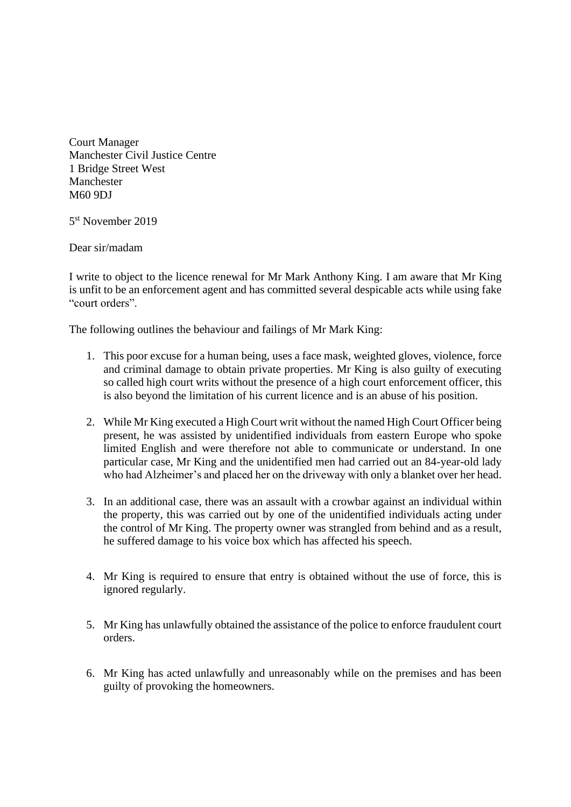Court Manager Manchester Civil Justice Centre 1 Bridge Street West Manchester M60 9DJ

5 st November 2019

Dear sir/madam

I write to object to the licence renewal for Mr Mark Anthony King. I am aware that Mr King is unfit to be an enforcement agent and has committed several despicable acts while using fake "court orders".

The following outlines the behaviour and failings of Mr Mark King:

- 1. This poor excuse for a human being, uses a face mask, weighted gloves, violence, force and criminal damage to obtain private properties. Mr King is also guilty of executing so called high court writs without the presence of a high court enforcement officer, this is also beyond the limitation of his current licence and is an abuse of his position.
- 2. While Mr King executed a High Court writ without the named High Court Officer being present, he was assisted by unidentified individuals from eastern Europe who spoke limited English and were therefore not able to communicate or understand. In one particular case, Mr King and the unidentified men had carried out an 84-year-old lady who had Alzheimer's and placed her on the driveway with only a blanket over her head.
- 3. In an additional case, there was an assault with a crowbar against an individual within the property, this was carried out by one of the unidentified individuals acting under the control of Mr King. The property owner was strangled from behind and as a result, he suffered damage to his voice box which has affected his speech.
- 4. Mr King is required to ensure that entry is obtained without the use of force, this is ignored regularly.
- 5. Mr King has unlawfully obtained the assistance of the police to enforce fraudulent court orders.
- 6. Mr King has acted unlawfully and unreasonably while on the premises and has been guilty of provoking the homeowners.